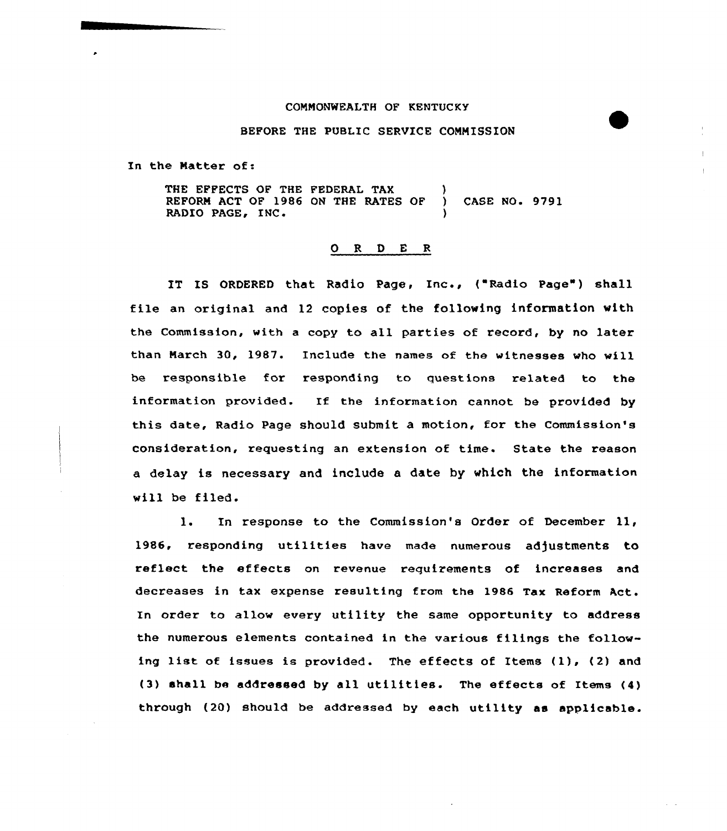## COMMONWEALTH OF KENTUCKY

## BEFORE THE PUBLIC SERVICE COMMISSION

In the Natter of:

THE EFFECTS OF THE FEDERAL TAX REFORN ACT OF 1986 ON THE RATES OF ) CASE NO. 9791 RADIO PAGE, INC.

## ORDER

IT IS ORDERED that Radio Page, Inc., ("Radio Page") shall file an original and 12 copies of the following information with the Commission, with <sup>a</sup> copy to all parties of record, by no later than March 30, 1987. Include the names of the witnesses who will be responsible for responding to questions related to the information provided. If the information cannot be provided by this date, Radio Page should submit a motion, for the Commission's consideration, requesting an extension of time. State the reason a delay is necessary and include a date by which the information will be filed.

l. In response to the Commission's Order of December 11, 1986, responding utilities have made numerous adjustments to reflect the effects on revenue requirements of increases and decreases in tax expense resulting from the 1986 Tax Reform Act. In order to allow every utility the same opportunity to address the numerous elements contained in the various filings the following list of issues is provided. The effects of Items (1), (2) and (3) shall be addressed by all utilities. The effects of Items (4) through (20) should be addressed by each utility as applicable.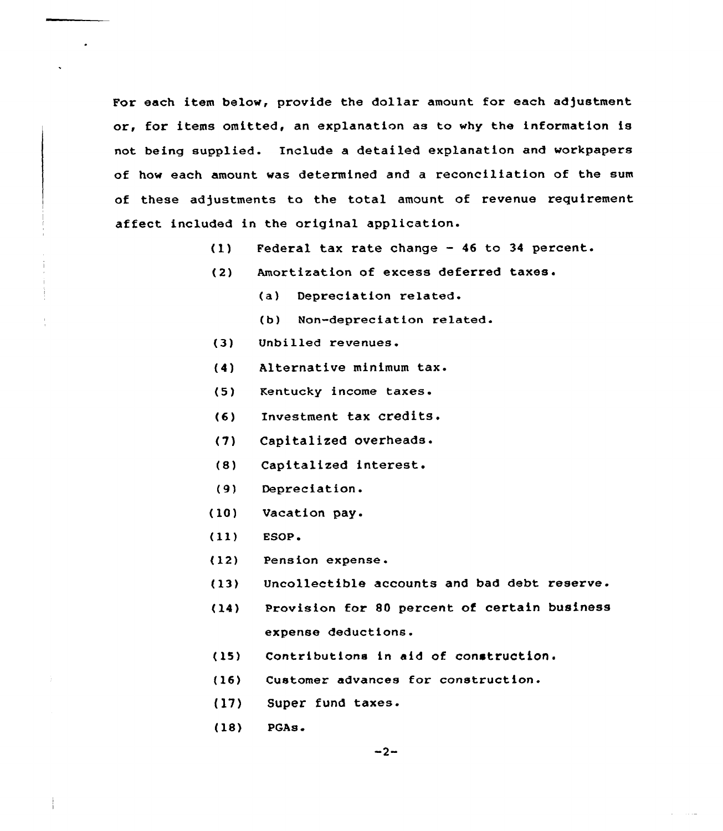For each item below, provide the dollar amount for each adjustment or, for items omitted, an explanation as to why the information is not being supplied. Include a detailed explanation and workpapers of how each amount was determined and a reconciliation of the sum of these adjustments to the total amount of revenue requirement affect included in the original application.

- (1) Federal tax rate change 46 to 34 percent.
- (2) Amortization of excess deferred taxes.
	- $(a)$ Depreciation related.
	- (b) Non-depreciation related.
- (3) Unbilled revenues.
- (4) Alternative minimum tax.
- (5) Kentucky income taxes.
- (6) Investment tax credits.
- (7) Capitalized overheads.
- (8) Capitalized interest.
- (9) Depreciation.
- (10) Vacation pay.
- $(11)$  ESOP.
- (12) Pension expense.
- (13) Uncollectible accounts and bad debt reserve.
- (14) Provision for SO percent of certain business expense deductions.
- (15) Contributions in aid of construction <sup>~</sup>
- (16) Customer advances for construction.
- (l7) Super fund taxes.
- (18) PGAs.

 $\sim 100$  and